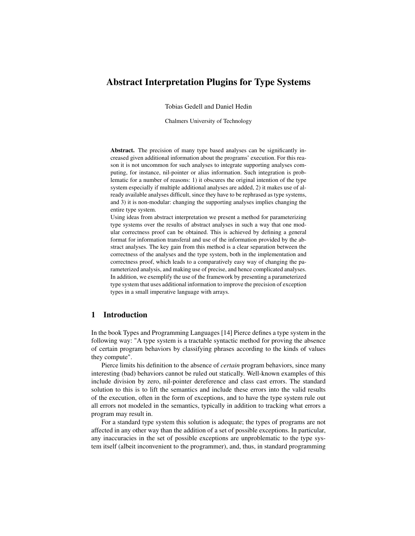# Abstract Interpretation Plugins for Type Systems

Tobias Gedell and Daniel Hedin

Chalmers University of Technology

Abstract. The precision of many type based analyses can be significantly increased given additional information about the programs' execution. For this reason it is not uncommon for such analyses to integrate supporting analyses computing, for instance, nil-pointer or alias information. Such integration is problematic for a number of reasons: 1) it obscures the original intention of the type system especially if multiple additional analyses are added, 2) it makes use of already available analyses difficult, since they have to be rephrased as type systems, and 3) it is non-modular: changing the supporting analyses implies changing the entire type system.

Using ideas from abstract interpretation we present a method for parameterizing type systems over the results of abstract analyses in such a way that one modular correctness proof can be obtained. This is achieved by defining a general format for information transferal and use of the information provided by the abstract analyses. The key gain from this method is a clear separation between the correctness of the analyses and the type system, both in the implementation and correctness proof, which leads to a comparatively easy way of changing the parameterized analysis, and making use of precise, and hence complicated analyses. In addition, we exemplify the use of the framework by presenting a parameterized type system that uses additional information to improve the precision of exception types in a small imperative language with arrays.

### 1 Introduction

In the book Types and Programming Languages [14] Pierce defines a type system in the following way: "A type system is a tractable syntactic method for proving the absence of certain program behaviors by classifying phrases according to the kinds of values they compute".

Pierce limits his definition to the absence of *certain* program behaviors, since many interesting (bad) behaviors cannot be ruled out statically. Well-known examples of this include division by zero, nil-pointer dereference and class cast errors. The standard solution to this is to lift the semantics and include these errors into the valid results of the execution, often in the form of exceptions, and to have the type system rule out all errors not modeled in the semantics, typically in addition to tracking what errors a program may result in.

For a standard type system this solution is adequate; the types of programs are not affected in any other way than the addition of a set of possible exceptions. In particular, any inaccuracies in the set of possible exceptions are unproblematic to the type system itself (albeit inconvenient to the programmer), and, thus, in standard programming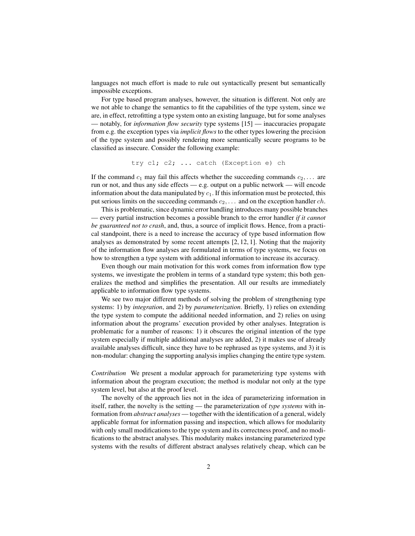languages not much effort is made to rule out syntactically present but semantically impossible exceptions.

For type based program analyses, however, the situation is different. Not only are we not able to change the semantics to fit the capabilities of the type system, since we are, in effect, retrofitting a type system onto an existing language, but for some analyses — notably, for *information flow security* type systems [15] — inaccuracies propagate from e.g. the exception types via *implicit flows* to the other types lowering the precision of the type system and possibly rendering more semantically secure programs to be classified as insecure. Consider the following example:

try c1; c2; ... catch (Exception e) ch

If the command  $c_1$  may fail this affects whether the succeeding commands  $c_2, \ldots$  are run or not, and thus any side effects — e.g. output on a public network — will encode information about the data manipulated by  $c_1$ . If this information must be protected, this put serious limits on the succeeding commands  $c_2, \ldots$  and on the exception handler  $ch$ .

This is problematic, since dynamic error handling introduces many possible branches — every partial instruction becomes a possible branch to the error handler *if it cannot be guaranteed not to crash*, and, thus, a source of implicit flows. Hence, from a practical standpoint, there is a need to increase the accuracy of type based information flow analyses as demonstrated by some recent attempts [2, 12, 1]. Noting that the majority of the information flow analyses are formulated in terms of type systems, we focus on how to strengthen a type system with additional information to increase its accuracy.

Even though our main motivation for this work comes from information flow type systems, we investigate the problem in terms of a standard type system; this both generalizes the method and simplifies the presentation. All our results are immediately applicable to information flow type systems.

We see two major different methods of solving the problem of strengthening type systems: 1) by *integration*, and 2) by *parameterization*. Briefly, 1) relies on extending the type system to compute the additional needed information, and 2) relies on using information about the programs' execution provided by other analyses. Integration is problematic for a number of reasons: 1) it obscures the original intention of the type system especially if multiple additional analyses are added, 2) it makes use of already available analyses difficult, since they have to be rephrased as type systems, and 3) it is non-modular: changing the supporting analysis implies changing the entire type system.

*Contribution* We present a modular approach for parameterizing type systems with information about the program execution; the method is modular not only at the type system level, but also at the proof level.

The novelty of the approach lies not in the idea of parameterizing information in itself, rather, the novelty is the setting — the parameterization of *type systems* with information from *abstract analyses* — together with the identification of a general, widely applicable format for information passing and inspection, which allows for modularity with only small modifications to the type system and its correctness proof, and no modifications to the abstract analyses. This modularity makes instancing parameterized type systems with the results of different abstract analyses relatively cheap, which can be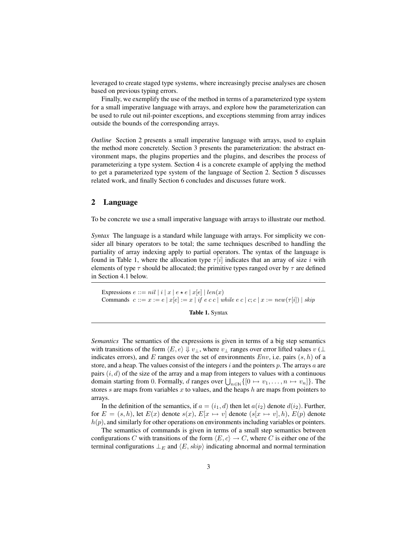leveraged to create staged type systems, where increasingly precise analyses are chosen based on previous typing errors.

Finally, we exemplify the use of the method in terms of a parameterized type system for a small imperative language with arrays, and explore how the parameterization can be used to rule out nil-pointer exceptions, and exceptions stemming from array indices outside the bounds of the corresponding arrays.

*Outline* Section 2 presents a small imperative language with arrays, used to explain the method more concretely. Section 3 presents the parameterization: the abstract environment maps, the plugins properties and the plugins, and describes the process of parameterizing a type system. Section 4 is a concrete example of applying the method to get a parameterized type system of the language of Section 2. Section 5 discusses related work, and finally Section 6 concludes and discusses future work.

# 2 Language

To be concrete we use a small imperative language with arrays to illustrate our method.

*Syntax* The language is a standard while language with arrays. For simplicity we consider all binary operators to be total; the same techniques described to handling the partiality of array indexing apply to partial operators. The syntax of the language is found in Table 1, where the allocation type  $\tau[i]$  indicates that an array of size i with elements of type  $\tau$  should be allocated; the primitive types ranged over by  $\tau$  are defined in Section 4.1 below.

Expressions  $e ::= nil | i | x | e \star e | x | e | | len(x)$ Commands  $c ::= x := e | x[e] := x | if e c c | while e c | c; c | x := new(\tau[i]) | skip$ 



*Semantics* The semantics of the expressions is given in terms of a big step semantics with transitions of the form  $\langle E, e \rangle \Downarrow v_{\perp}$ , where  $v_{\perp}$  ranges over error lifted values  $v (\perp$ indicates errors), and E ranges over the set of environments  $Env$ , i.e. pairs  $(s, h)$  of a store, and a heap. The values consist of the integers  $i$  and the pointers  $p$ . The arrays  $a$  are pairs  $(i, d)$  of the size of the array and a map from integers to values with a continuous domain starting from 0. Formally, d ranges over  $\bigcup_{n\in\mathbb{N}}\{[0 \mapsto v_1, \dots, n \mapsto v_n]\}$ . The stores s are maps from variables  $x$  to values, and the heaps  $h$  are maps from pointers to arrays.

In the definition of the semantics, if  $a = (i_1, d)$  then let  $a(i_2)$  denote  $d(i_2)$ . Further, for  $E = (s, h)$ , let  $E(x)$  denote  $s(x)$ ,  $E[x \mapsto v]$  denote  $(s[x \mapsto v], h)$ ,  $E(p)$  denote  $h(p)$ , and similarly for other operations on environments including variables or pointers.

The semantics of commands is given in terms of a small step semantics between configurations C with transitions of the form  $\langle E, c \rangle \to C$ , where C is either one of the terminal configurations  $\perp_E$  and  $\langle E, \text{skip} \rangle$  indicating abnormal and normal termination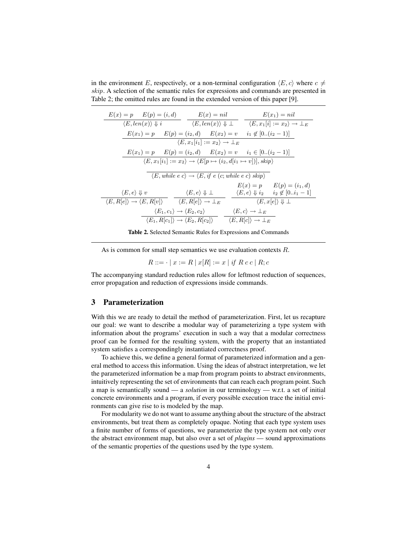in the environment E, respectively, or a non-terminal configuration  $\langle E, c \rangle$  where  $c \neq$ skip. A selection of the semantic rules for expressions and commands are presented in Table 2; the omitted rules are found in the extended version of this paper [9].

|                                                                                                             | $E(x) = p$ $E(p) = (i, d)$ $E(x) = nil$<br>$\langle E, len(x) \rangle \Downarrow i$ $\langle E, len(x) \rangle \Downarrow \perp$ $\langle E, x_1[i] := x_2 \rangle \rightarrow \perp_E$ |                                                                                                 | $E(x_1) = nil$ |
|-------------------------------------------------------------------------------------------------------------|-----------------------------------------------------------------------------------------------------------------------------------------------------------------------------------------|-------------------------------------------------------------------------------------------------|----------------|
|                                                                                                             | $E(x_1) = p$ $E(p) = (i_2, d)$ $E(x_2) = v$                                                                                                                                             | $i_1 \notin [0(i_2-1)]$                                                                         |                |
| $\langle E, x_1[i_1] := x_2 \rangle \rightarrow \perp_E$                                                    |                                                                                                                                                                                         |                                                                                                 |                |
|                                                                                                             | $E(x_1) = p$ $E(p) = (i_2, d)$ $E(x_2) = v$ $i_1 \in [0(i_2-1)]$                                                                                                                        |                                                                                                 |                |
| $\langle E, x_1[i_1] := x_2 \rangle \rightarrow \langle E[p \mapsto (i_2, d[i_1 \mapsto v])], skip \rangle$ |                                                                                                                                                                                         |                                                                                                 |                |
| $\langle E, while e c \rangle \rightarrow \langle E, if e (c; while e c) skip \rangle$                      |                                                                                                                                                                                         |                                                                                                 |                |
| $\langle E, e \rangle \Downarrow v$                                                                         | $\langle E, e \rangle \Downarrow \bot$                                                                                                                                                  | $E(x) = p$ $E(p) = (i_1, d)$<br>$\langle E, e \rangle \Downarrow i_2 \quad i_2 \notin [0i_1-1]$ |                |
|                                                                                                             | $\langle E, R[e] \rangle \rightarrow \langle E, R[v] \rangle$ $\langle E, R[e] \rangle \rightarrow \perp_E$                                                                             | $\langle E, x[e] \rangle \Downarrow \perp$                                                      |                |
|                                                                                                             | $\langle E_1, c_1 \rangle \rightarrow \langle E_2, c_2 \rangle$<br>$\langle E_1, R[c_1] \rangle \rightarrow \langle E_2, R[c_2] \rangle$                                                | $\langle E, c \rangle \rightarrow \perp_E$<br>$\langle E, R[c] \rangle \rightarrow \perp_E$     |                |



As is common for small step semantics we use evaluation contexts R.

$$
R ::= \cdot | x := R | x[R] := x | if R c c | R; c
$$

The accompanying standard reduction rules allow for leftmost reduction of sequences, error propagation and reduction of expressions inside commands.

# 3 Parameterization

With this we are ready to detail the method of parameterization. First, let us recapture our goal: we want to describe a modular way of parameterizing a type system with information about the programs' execution in such a way that a modular correctness proof can be formed for the resulting system, with the property that an instantiated system satisfies a correspondingly instantiated correctness proof.

To achieve this, we define a general format of parameterized information and a general method to access this information. Using the ideas of abstract interpretation, we let the parameterized information be a map from program points to abstract environments, intuitively representing the set of environments that can reach each program point. Such a map is semantically sound — a *solution* in our terminology — w.r.t. a set of initial concrete environments and a program, if every possible execution trace the initial environments can give rise to is modeled by the map.

For modularity we do not want to assume anything about the structure of the abstract environments, but treat them as completely opaque. Noting that each type system uses a finite number of forms of questions, we parameterize the type system not only over the abstract environment map, but also over a set of *plugins* — sound approximations of the semantic properties of the questions used by the type system.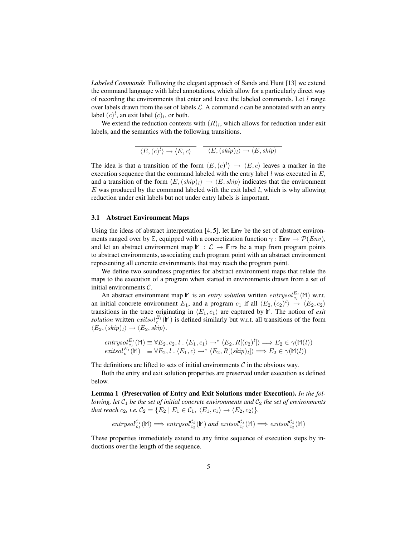*Labeled Commands* Following the elegant approach of Sands and Hunt [13] we extend the command language with label annotations, which allow for a particularly direct way of recording the environments that enter and leave the labeled commands. Let  $l$  range over labels drawn from the set of labels  $\mathcal{L}$ . A command c can be annotated with an entry label  $(c)^l$ , an exit label  $(c)_l$ , or both.

We extend the reduction contexts with  $(R)_l$ , which allows for reduction under exit labels, and the semantics with the following transitions.

$$
\overline{\langle E, (c)^l \rangle \to \langle E, c \rangle} \quad \overline{\langle E, (skip) \rangle \rangle \to \langle E, skip \rangle}
$$

The idea is that a transition of the form  $\langle E,(c)^{l}\rangle \rightarrow \langle E,c\rangle$  leaves a marker in the execution sequence that the command labeled with the entry label  $l$  was executed in  $E$ , and a transition of the form  $\langle E,(skip)\rangle_l \rangle \rightarrow \langle E, skip\rangle$  indicates that the environment  $E$  was produced by the command labeled with the exit label  $l$ , which is why allowing reduction under exit labels but not under entry labels is important.

#### 3.1 Abstract Environment Maps

Using the ideas of abstract interpretation  $[4, 5]$ , let  $\mathbb{E}_{\text{nv}}$  be the set of abstract environments ranged over by  $\mathbb{E}$ , equipped with a concretization function  $\gamma : \mathbb{E} \mathbb{E} \to \mathcal{P}(Env)$ , and let an abstract environment map  $M : \mathcal{L} \to \mathbb{E}$ nv be a map from program points to abstract environments, associating each program point with an abstract environment representing all concrete environments that may reach the program point.

We define two soundness properties for abstract environment maps that relate the maps to the execution of a program when started in environments drawn from a set of initial environments C.

An abstract environment map  $M$  is an *entry solution* written *entrysol*<sup>E<sub>1</sub></sup>( $M$ ) w.r.t. an initial concrete environment  $E_1$ , and a program  $c_1$  if all  $\langle E_2, (c_2)^l \rangle \rightarrow \langle E_2, c_2 \rangle$ transitions in the trace originating in  $\langle E_1, c_1 \rangle$  are captured by M. The notion of *exit* solution written  $\textit{exists} \, l_c^{E_1}(\mathbb{M})$  is defined similarly but w.r.t. all transitions of the form  $\langle E_2,(skip)_l\rangle \rightarrow \langle E_2, skip\rangle.$ 

$$
\begin{array}{l}\n\textit{entrysol}_{c_1}^{E_1}(\mathbb{M}) \equiv \forall E_2, c_2, l \cdot \langle E_1, c_1 \rangle \rightarrow^* \langle E_2, R[(c_2)^l] \rangle \Longrightarrow E_2 \in \gamma(\mathbb{M}(l)) \\
\textit{existsol}_{c}^{E_1}(\mathbb{M}) \equiv \forall E_2, l \cdot \langle E_1, c \rangle \rightarrow^* \langle E_2, R[(skip] \rangle_l] \rangle \Longrightarrow E_2 \in \gamma(\mathbb{M}(l))\n\end{array}
$$

The definitions are lifted to sets of initial environments  $C$  in the obvious way.

Both the entry and exit solution properties are preserved under execution as defined below.

Lemma 1 (Preservation of Entry and Exit Solutions under Execution). *In the following, let*  $C_1$  *be the set of initial concrete environments and*  $C_2$  *the set of environments that reach*  $c_2$ *, i.e.*  $C_2 = \{E_2 \mid E_1 \in C_1, \langle E_1, c_1 \rangle \rightarrow \langle E_2, c_2 \rangle\}.$ 

$$
entryso l_{c_1}^{C_1}(\mathbb{M}) \Longrightarrow entryso l_{c_2}^{C_2}(\mathbb{M}) \text{ and } exitso l_{c_1}^{C_1}(\mathbb{M}) \Longrightarrow exitso l_{c_2}^{C_2}(\mathbb{M})
$$

These properties immediately extend to any finite sequence of execution steps by inductions over the length of the sequence.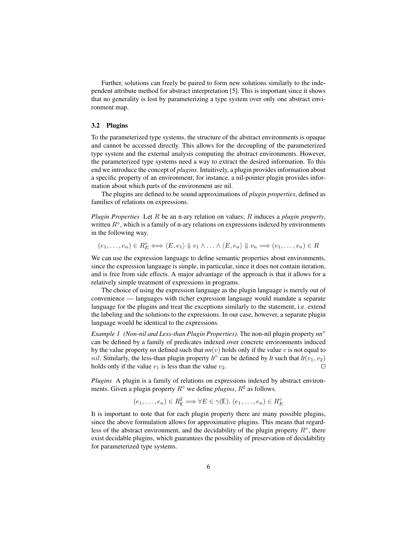Further, solutions can freely be paired to form new solutions similarly to the independent attribute method for abstract interpretation [5]. This is important since it shows that no generality is lost by parameterizing a type system over only one abstract environment map.

### 3.2 Plugins

To the parameterized type systems, the structure of the abstract environments is opaque and cannot be accessed directly. This allows for the decoupling of the parameterized type system and the external analysis computing the abstract environments. However, the parameterized type systems need a way to extract the desired information. To this end we introduce the concept of *plugins*. Intuitively, a plugin provides information about a specific property of an environment; for instance, a nil-pointer plugin provides information about which parts of the environment are nil.

The plugins are defined to be sound approximations of *plugin properties*, defined as families of relations on expressions.

*Plugin Properties* Let R be an n-ary relation on values; R induces a *plugin property*, written  $R^{\circ}$ , which is a family of n-ary relations on expressions indexed by environments in the following way.

 $(e_1, \ldots, e_n) \in R_E^{\diamond} \Longleftrightarrow \langle E, e_1 \rangle \Downarrow v_1 \wedge \ldots \wedge \langle E, e_n \rangle \Downarrow v_n \Longrightarrow (v_1, \ldots, v_n) \in R$ 

We can use the expression language to define semantic properties about environments, since the expression language is simple, in particular, since it does not contain iteration, and is free from side effects. A major advantage of the approach is that it allows for a relatively simple treatment of expressions in programs.

The choice of using the expression language as the plugin language is merely out of convenience — languages with richer expression language would mandate a separate language for the plugins and treat the exceptions similarly to the statement, i.e. extend the labeling and the solutions to the expressions. In our case, however, a separate plugin language would be identical to the expressions.

*Example 1 (Non-nil and Less-than Plugin Properties).* The non-nil plugin property *nn* can be defined by a family of predicates indexed over concrete environments induced by the value property *nn* defined such that  $nn(v)$  holds only if the value v is not equal to nil. Similarly, the less-than plugin property  $\hat{t}^{\diamond}$  can be defined by *lt* such that  $t^{\diamond}$   $(t^{\diamond}1, v_2)$ holds only if the value  $v_1$  is less than the value  $v_2$ .

*Plugins* A plugin is a family of relations on expressions indexed by abstract environments. Given a plugin property  $R^{\diamond}$  we define *plugins*,  $R^{\sharp}$  as follows.

 $(e_1, \ldots, e_n) \in R_{\mathbb{E}}^{\sharp} \Longrightarrow \forall E \in \gamma(\mathbb{E}). (e_1, \ldots, e_n) \in R_{E}^{\diamond}$ 

It is important to note that for each plugin property there are many possible plugins, since the above formulation allows for approximative plugins. This means that regardless of the abstract environment, and the decidability of the plugin property  $R^{\circ}$ , there exist decidable plugins, which guarantees the possibility of preservation of decidability for parameterized type systems.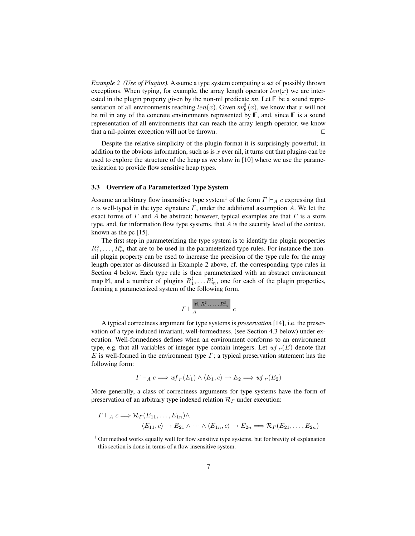*Example 2 (Use of Plugins).* Assume a type system computing a set of possibly thrown exceptions. When typing, for example, the array length operator  $len(x)$  we are interested in the plugin property given by the non-nil predicate *nn*. Let E be a sound representation of all environments reaching  $len(x)$ . Given  $nn_F^{\sharp}(x)$ , we know that x will not be nil in any of the concrete environments represented by  $E$ , and, since  $E$  is a sound representation of all environments that can reach the array length operator, we know that a nil-pointer exception will not be thrown.  $\Box$ 

Despite the relative simplicity of the plugin format it is surprisingly powerful; in addition to the obvious information, such as is  $x$  ever nil, it turns out that plugins can be used to explore the structure of the heap as we show in [10] where we use the parameterization to provide flow sensitive heap types.

#### 3.3 Overview of a Parameterized Type System

Assume an arbitrary flow insensitive type system<sup>1</sup> of the form  $\Gamma \vdash_A c$  expressing that c is well-typed in the type signature  $\Gamma$ , under the additional assumption A. We let the exact forms of  $\Gamma$  and A be abstract; however, typical examples are that  $\Gamma$  is a store type, and, for information flow type systems, that  $A$  is the security level of the context, known as the pc [15].

The first step in parameterizing the type system is to identify the plugin properties  $R_1^{\diamond}, \ldots, R_m^{\diamond}$  that are to be used in the parameterized type rules. For instance the nonnil plugin property can be used to increase the precision of the type rule for the array length operator as discussed in Example 2 above, cf. the corresponding type rules in Section 4 below. Each type rule is then parameterized with an abstract environment map M, and a number of plugins  $R_1^{\sharp}, \ldots, R_m^{\sharp}$ , one for each of the plugin properties, forming a parameterized system of the following form.

$$
\varGamma \vdash_A^{\text{M}, R_1^{\sharp}, \ldots, R_m^{\sharp}} c
$$

A typical correctness argument for type systems is *preservation* [14], i.e. the preservation of a type induced invariant, well-formedness, (see Section 4.3 below) under execution. Well-formedness defines when an environment conforms to an environment type, e.g. that all variables of integer type contain integers. Let  $wf_T(E)$  denote that E is well-formed in the environment type  $\Gamma$ ; a typical preservation statement has the following form:

$$
\Gamma \vdash_A c \Longrightarrow wf_\Gamma(E_1) \land \langle E_1, c \rangle \rightarrow E_2 \Longrightarrow wf_\Gamma(E_2)
$$

More generally, a class of correctness arguments for type systems have the form of preservation of an arbitrary type indexed relation  $\mathcal{R}_{\Gamma}$  under execution:

$$
\Gamma \vdash_A c \Longrightarrow \mathcal{R}_\Gamma(E_{11}, \dots, E_{1n}) \land \langle E_{11}, c \rangle \rightarrow E_{21} \land \dots \land \langle E_{1n}, c \rangle \rightarrow E_{2n} \Longrightarrow \mathcal{R}_\Gamma(E_{21}, \dots, E_{2n})
$$

<sup>&</sup>lt;sup>1</sup> Our method works equally well for flow sensitive type systems, but for brevity of explanation this section is done in terms of a flow insensitive system.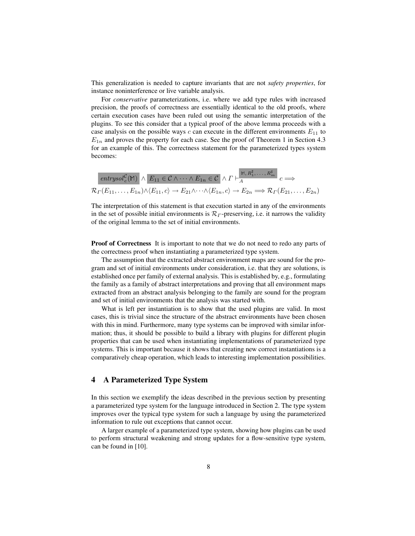This generalization is needed to capture invariants that are not *safety properties*, for instance noninterference or live variable analysis.

For *conservative* parameterizations, i.e. where we add type rules with increased precision, the proofs of correctness are essentially identical to the old proofs, where certain execution cases have been ruled out using the semantic interpretation of the plugins. To see this consider that a typical proof of the above lemma proceeds with a case analysis on the possible ways  $c$  can execute in the different environments  $E_{11}$  to  $E_{1n}$  and proves the property for each case. See the proof of Theorem 1 in Section 4.3 for an example of this. The correctness statement for the parameterized types system becomes:

$$
\boxed{entrysol_c^{\mathcal{C}}(\mathbb{M}) \land E_{11} \in \mathcal{C} \land \cdots \land E_{1n} \in \mathcal{C} \land \cdots \land E_{1n} \in \mathcal{C} \land F \vdash^{\mathbb{M}, R_1^{\sharp}, \ldots, R_m^{\sharp}}_{A} c \Longrightarrow}
$$
\n
$$
\mathcal{R}_{\Gamma}(E_{11},\ldots,E_{1n}) \land \langle E_{11},c\rangle \to E_{21} \land \cdots \land \langle E_{1n},c\rangle \to E_{2n} \Longrightarrow \mathcal{R}_{\Gamma}(E_{21},\ldots,E_{2n})
$$

The interpretation of this statement is that execution started in any of the environments in the set of possible initial environments is  $\mathcal{R}_\Gamma$ -preserving, i.e. it narrows the validity of the original lemma to the set of initial environments.

**Proof of Correctness** It is important to note that we do not need to redo any parts of the correctness proof when instantiating a parameterized type system.

The assumption that the extracted abstract environment maps are sound for the program and set of initial environments under consideration, i.e. that they are solutions, is established once per family of external analysis. This is established by, e.g., formulating the family as a family of abstract interpretations and proving that all environment maps extracted from an abstract analysis belonging to the family are sound for the program and set of initial environments that the analysis was started with.

What is left per instantiation is to show that the used plugins are valid. In most cases, this is trivial since the structure of the abstract environments have been chosen with this in mind. Furthermore, many type systems can be improved with similar information; thus, it should be possible to build a library with plugins for different plugin properties that can be used when instantiating implementations of parameterized type systems. This is important because it shows that creating new correct instantiations is a comparatively cheap operation, which leads to interesting implementation possibilities.

# 4 A Parameterized Type System

In this section we exemplify the ideas described in the previous section by presenting a parameterized type system for the language introduced in Section 2. The type system improves over the typical type system for such a language by using the parameterized information to rule out exceptions that cannot occur.

A larger example of a parameterized type system, showing how plugins can be used to perform structural weakening and strong updates for a flow-sensitive type system, can be found in [10].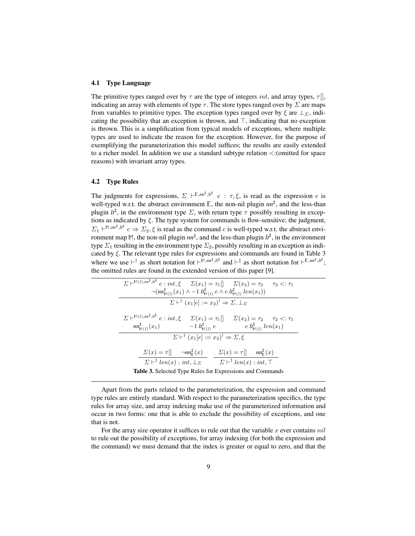#### 4.1 Type Language

The primitive types ranged over by  $\tau$  are the type of integers *int*, and array types,  $\tau$ ], indicating an array with elements of type  $\tau$ . The store types ranged over by  $\Sigma$  are maps from variables to primitive types. The exception types ranged over by  $\xi$  are  $\perp_{\Sigma}$ , indicating the possibility that an exception is thrown, and  $\top$ , indicating that no exception is thrown. This is a simplification from typical models of exceptions, where multiple types are used to indicate the reason for the exception. However, for the purpose of exemplifying the parameterization this model suffices; the results are easily extended to a richer model. In addition we use a standard subtype relation <:(omitted for space reasons) with invariant array types.

### 4.2 Type Rules

The judgments for expressions,  $\Sigma \vdash^{\mathbb{E},nn^{\sharp},l^{\sharp}} e : \tau, \xi$ , is read as the expression e is well-typed w.r.t. the abstract environment  $\mathbb{E}$ , the non-nil plugin  $nn^{\sharp}$ , and the less-than plugin  $l t^{\sharp}$ , in the environment type  $\Sigma$ , with return type  $\tau$  possibly resulting in exceptions as indicated by  $\xi$ . The type system for commands is flow-sensitive; the judgment,  $\Sigma_1 \vdash^{\mathbb{M},nn^{\sharp},lt^{\sharp}} c \Rightarrow \Sigma_2, \xi$  is read as the command c is well-typed w.r.t. the abstract environment map  $M$ , the non-nil plugin  $nn^{\sharp}$ , and the less-than plugin  $li^{\sharp}$ , in the environment type  $\Sigma_1$  resulting in the environment type  $\Sigma_2$ , possibly resulting in an exception as indicated by  $\xi$ . The relevant type rules for expressions and commands are found in Table 3 where we use  $\vdash^{\dagger}$  as short notation for  $\vdash^{\mathbb{M},m^{\sharp},l^{\sharp}}$  and  $\vdash^{\ddagger}$  as short notation for  $\vdash^{\mathbb{E},m^{\sharp},l^{\sharp}}$ ; the omitted rules are found in the extended version of this paper [9].

| $\Sigma \vdash^{\mathbb{M}(l),m^{\sharp},l^{\sharp}} e : int, \xi \quad \Sigma(x_1) = \tau_1[] \quad \Sigma(x_2) = \tau_2 \quad \tau_2 <: \tau_1$  |  |  |  |
|----------------------------------------------------------------------------------------------------------------------------------------------------|--|--|--|
| $\neg (nn^{\sharp}_{\mathbb{M}(l)}(x_1) \wedge -1 \; l l^{\sharp}_{\mathbb{M}(l)} \; e \wedge e \; l l^{\sharp}_{\mathbb{M}(l)} \; len(x_1))$      |  |  |  |
| $\Sigma \vdash^{+} (x_1[e] := x_2)^{l} \Rightarrow \Sigma, \bot_{\Sigma}$                                                                          |  |  |  |
|                                                                                                                                                    |  |  |  |
| $\Sigma \vdash^{\mathbb{M}(l),nn^{\sharp},l^{\sharp}} e : int, \xi \quad \Sigma(x_1) = \tau_1[] \quad \Sigma(x_2) = \tau_2 \quad \tau_2 <: \tau_1$ |  |  |  |
| $n n_{\mathbb{M}(l)}^{\sharp}(x_1)$ $-1 l_{\mathbb{M}(l)}^{\sharp} e$ $e l_{\mathbb{M}(l)}^{\sharp} len(x_1)$                                      |  |  |  |
| $\Sigma \vdash^{†} (x_1[e] := x_2)^t \Rightarrow \Sigma, \xi$                                                                                      |  |  |  |
|                                                                                                                                                    |  |  |  |
| $\Sigma(x) = \tau \left[ \begin{array}{cc} \neg nn_{\mathbb{F}}^{\sharp}(x) & \Sigma(x) = \tau \end{array} \right]$ $nn_{\mathbb{F}}^{\sharp}(x)$  |  |  |  |
| $\Sigma \vdash^{\ddagger} len(x) : int, \bot_{\Sigma}$<br>$\Sigma \vdash^{\ddagger} len(x) : int, \top$                                            |  |  |  |
| <b>Table 3.</b> Selected Type Rules for Expressions and Commands                                                                                   |  |  |  |

Apart from the parts related to the parameterization, the expression and command type rules are entirely standard. With respect to the parameterization specifics, the type rules for array size, and array indexing make use of the parameterized information and occur in two forms: one that is able to exclude the possibility of exceptions, and one that is not.

For the array size operator it suffices to rule out that the variable x ever contains  $nil$ to rule out the possibility of exceptions, for array indexing (for both the expression and the command) we must demand that the index is greater or equal to zero, and that the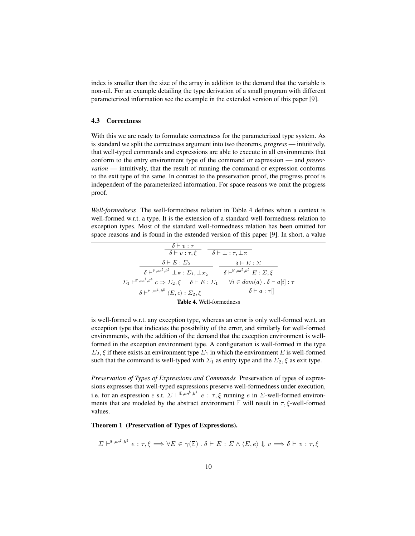index is smaller than the size of the array in addition to the demand that the variable is non-nil. For an example detailing the type derivation of a small program with different parameterized information see the example in the extended version of this paper [9].

#### 4.3 Correctness

With this we are ready to formulate correctness for the parameterized type system. As is standard we split the correctness argument into two theorems, *progress* — intuitively, that well-typed commands and expressions are able to execute in all environments that conform to the entry environment type of the command or expression — and *preservation* — intuitively, that the result of running the command or expression conforms to the exit type of the same. In contrast to the preservation proof, the progress proof is independent of the parameterized information. For space reasons we omit the progress proof.

*Well-formedness* The well-formedness relation in Table 4 defines when a context is well-formed w.r.t. a type. It is the extension of a standard well-formedness relation to exception types. Most of the standard well-formedness relation has been omitted for space reasons and is found in the extended version of this paper [9]. In short, a value



is well-formed w.r.t. any exception type, whereas an error is only well-formed w.r.t. an exception type that indicates the possibility of the error, and similarly for well-formed environments, with the addition of the demand that the exception environment is wellformed in the exception environment type. A configuration is well-formed in the type  $\Sigma_2$ ,  $\xi$  if there exists an environment type  $\Sigma_1$  in which the environment E is well-formed such that the command is well-typed with  $\Sigma_1$  as entry type and the  $\Sigma_2$ ,  $\xi$  as exit type.

*Preservation of Types of Expressions and Commands* Preservation of types of expressions expresses that well-typed expressions preserve well-formedness under execution, i.e. for an expression e s.t.  $\Sigma \vdash^{\mathbb{E},nn^{\sharp},lt^{\sharp}} e : \tau, \xi$  running e in  $\Sigma$ -well-formed environments that are modeled by the abstract environment  $\mathbb E$  will result in  $\tau$ ,  $\xi$ -well-formed values.

Theorem 1 (Preservation of Types of Expressions).

$$
\Sigma \vdash^{\mathbb{E},m^{\sharp},l^{\sharp}} e : \tau, \xi \Longrightarrow \forall E \in \gamma(\mathbb{E}) \; . \; \delta \vdash E : \Sigma \wedge \langle E,e \rangle \Downarrow v \Longrightarrow \delta \vdash v : \tau, \xi
$$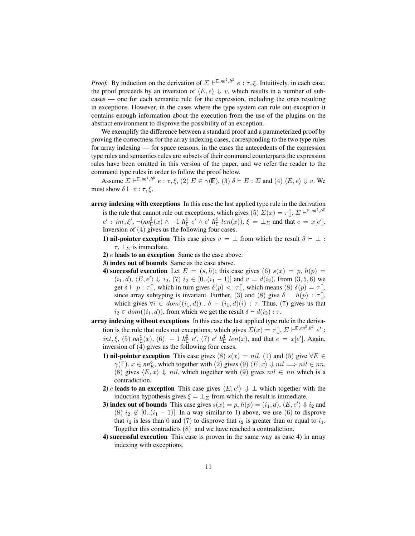*Proof.* By induction on the derivation of  $\Sigma \vdash^{\mathbb{E}, m^{\sharp}, l^{\sharp}} e : \tau, \xi$ . Intuitively, in each case, the proof proceeds by an inversion of  $\langle E, e \rangle \Downarrow v$ , which results in a number of subcases — one for each semantic rule for the expression, including the ones resulting in exceptions. However, in the cases where the type system can rule out exception it contains enough information about the execution from the use of the plugins on the abstract environment to disprove the possibility of an exception.

We exemplify the difference between a standard proof and a parameterized proof by proving the correctness for the array indexing cases, corresponding to the two type rules for array indexing — for space reasons, in the cases the antecedents of the expression type rules and semantics rules are subsets of their command counterparts the expression rules have been omitted in this version of the paper, and we refer the reader to the command type rules in order to follow the proof below.

Assume  $\Sigma \vdash^{\mathbb{E},nn^{\sharp},lt^{\sharp}} e : \tau, \xi, (2) \ E \in \gamma(\mathbb{E}), (3) \ \delta \vdash E : \Sigma \text{ and } (4) \ \langle E, e \rangle \Downarrow v.$  We must show  $\delta \vdash v : \tau, \xi$ .

- array indexing with exceptions In this case the last applied type rule in the derivation is the rule that cannot rule out exceptions, which gives (5)  $\Sigma(x) = \tau[$ ,  $\Sigma \vdash^{\mathbb{E},mn^{\sharp},ln^{\sharp}}$  $e^{\prime}: int, \xi^{\prime}, \neg (nn_{\mathbb{E}}^{\sharp}(x) \wedge -1 \text{ } li_{\mathbb{E}}^{\sharp} \text{ } e^{\prime} \wedge e^{\prime} \text{ } li_{\mathbb{E}}^{\sharp} \text{ } len(x)), \xi = \bot_{\varSigma} \text{ and that } e = x[e^{\prime}].$ Inversion of (4) gives us the following four cases.
	- 1) nil-pointer exception This case gives  $v = \perp$  from which the result  $\delta \vdash \perp$ :  $\tau$ ,  $\perp$ <sub>Σ</sub> is immediate.
	- 2)  $e$  leads to an exception Same as the case above.
	- 3) index out of bounds Same as the case above.
	- 4) successful execution Let  $E = (s, h)$ ; this case gives (6)  $s(x) = p$ ,  $h(p) =$  $(i_1, d)$ ,  $\langle E, e' \rangle \Downarrow i_2$ ,  $(7) i_2 \in [0..(i_1 - 1)]$  and  $v = d(i_2)$ . From  $(3, 5, 6)$  we get  $\delta \vdash p : \tau \parallel$ , which in turn gives  $\delta(p) \langle \tau \rangle$ , which means (8)  $\delta(p) = \tau \parallel$ , since array subtyping is invariant. Further, (3) and (8) give  $\delta \vdash h(p) : \tau |$ , which gives  $\forall i \in dom((i_1, d))$ .  $\delta \vdash (i_1, d)(i) : \tau$ . Thus, (7) gives us that  $i_2 \in dom((i_1, d))$ , from which we get the result  $\delta \vdash d(i_2) : \tau$ .
- array indexing without exceptions In this case the last applied type rule in the derivation is the rule that rules out exceptions, which gives  $\Sigma(x) = \tau[$ ,  $\Sigma \vdash^{\mathbb{E},nn^{\sharp},l^{\sharp}} e'$ :  $int, \xi$ , (5)  $nn^{\sharp}_{\mathbb{E}}(x)$ , (6) -1  $lt^{\sharp}_{\mathbb{E}}$  e', (7) e'  $lt^{\sharp}_{\mathbb{E}}$  len(x), and that  $e = x[e']$ . Again, inversion of (4) gives us the following four cases.
	- 1) nil-pointer exception This case gives (8)  $s(x) = nil$ . (1) and (5) give  $\forall E \in$  $\gamma(E)$ .  $x \in nn_E^{\diamond}$ , which together with (2) gives (9)  $\langle E, x \rangle \Downarrow nil \Longrightarrow nil \in nn$ . (8) gives  $\langle E, x \rangle \Downarrow nil$ , which together with (9) gives  $nil \in nn$  which is a contradiction.
	- 2) e leads to an exception This case gives  $\langle E, e' \rangle \Downarrow \bot$  which together with the induction hypothesis gives  $\xi = \perp_{\Sigma}$  from which the result is immediate.
	- **3) index out of bounds** This case gives  $s(x) = p$ ,  $h(p) = (i_1, d)$ ,  $\langle E, e' \rangle \Downarrow i_2$  and (8)  $i_2 \notin [0..(i_1-1)]$ . In a way similar to 1) above, we use (6) to disprove that  $i_2$  is less than 0 and (7) to disprove that  $i_2$  is greater than or equal to  $i_1$ . Together this contradicts (8) and we have reached a contradiction.
	- 4) successful execution This case is proven in the same way as case 4) in array indexing with exceptions.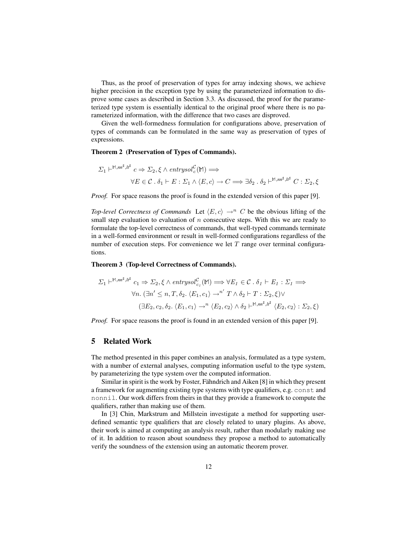Thus, as the proof of preservation of types for array indexing shows, we achieve higher precision in the exception type by using the parameterized information to disprove some cases as described in Section 3.3. As discussed, the proof for the parameterized type system is essentially identical to the original proof where there is no parameterized information, with the difference that two cases are disproved.

Given the well-formedness formulation for configurations above, preservation of types of commands can be formulated in the same way as preservation of types of expressions.

### Theorem 2 (Preservation of Types of Commands).

$$
\Sigma_1 \vdash^{\mathbb{M},nn^{\sharp},lt^{\sharp}} c \Rightarrow \Sigma_2, \xi \wedge entrysol^{\mathcal{C}}_c(\mathbb{M}) \Longrightarrow
$$
  

$$
\forall E \in \mathcal{C} \ . \ \delta_1 \vdash E : \Sigma_1 \wedge \langle E, c \rangle \rightarrow C \Longrightarrow \exists \delta_2 \ . \ \delta_2 \vdash^{\mathbb{M},nn^{\sharp},lt^{\sharp}} C : \Sigma_2, \xi
$$

*Proof.* For space reasons the proof is found in the extended version of this paper [9].

*Top-level Correctness of Commands* Let  $\langle E, c \rangle \rightarrow^n C$  be the obvious lifting of the small step evaluation to evaluation of  $n$  consecutive steps. With this we are ready to formulate the top-level correctness of commands, that well-typed commands terminate in a well-formed environment or result in well-formed configurations regardless of the number of execution steps. For convenience we let  $T$  range over terminal configurations.

### Theorem 3 (Top-level Correctness of Commands).

$$
\Sigma_1 \vdash^{\mathbb{M},nn^{\sharp},lt^{\sharp}} c_1 \Rightarrow \Sigma_2, \xi \land entrysol^{\mathcal{C}}_{c_1}(\mathbb{M}) \Longrightarrow \forall E_1 \in \mathcal{C} \ . \ \delta_1 \vdash E_1 : \Sigma_1 \Longrightarrow
$$
  

$$
\forall n. \ (\exists n' \leq n, T, \delta_2. \ \langle E_1, c_1 \rangle \rightarrow^{n'} T \land \delta_2 \vdash T : \Sigma_2, \xi) \lor
$$
  

$$
(\exists E_2, c_2, \delta_2. \ \langle E_1, c_1 \rangle \rightarrow^{n} \langle E_2, c_2 \rangle \land \delta_2 \vdash^{\mathbb{M},nn^{\sharp},lt^{\sharp}} \langle E_2, c_2 \rangle : \Sigma_2, \xi)
$$

*Proof.* For space reasons the proof is found in an extended version of this paper [9].

### 5 Related Work

The method presented in this paper combines an analysis, formulated as a type system, with a number of external analyses, computing information useful to the type system, by parameterizing the type system over the computed information.

Similar in spirit is the work by Foster, Fähndrich and Aiken [8] in which they present a framework for augmenting existing type systems with type qualifiers, e.g. const and nonnil. Our work differs from theirs in that they provide a framework to compute the qualifiers, rather than making use of them.

In [3] Chin, Markstrum and Millstein investigate a method for supporting userdefined semantic type qualifiers that are closely related to unary plugins. As above, their work is aimed at computing an analysis result, rather than modularly making use of it. In addition to reason about soundness they propose a method to automatically verify the soundness of the extension using an automatic theorem prover.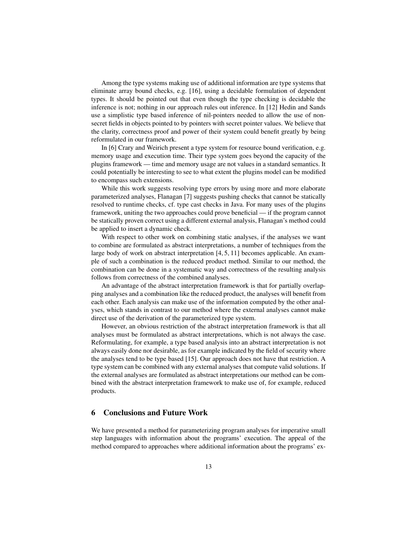Among the type systems making use of additional information are type systems that eliminate array bound checks, e.g. [16], using a decidable formulation of dependent types. It should be pointed out that even though the type checking is decidable the inference is not; nothing in our approach rules out inference. In [12] Hedin and Sands use a simplistic type based inference of nil-pointers needed to allow the use of nonsecret fields in objects pointed to by pointers with secret pointer values. We believe that the clarity, correctness proof and power of their system could benefit greatly by being reformulated in our framework.

In [6] Crary and Weirich present a type system for resource bound verification, e.g. memory usage and execution time. Their type system goes beyond the capacity of the plugins framework — time and memory usage are not values in a standard semantics. It could potentially be interesting to see to what extent the plugins model can be modified to encompass such extensions.

While this work suggests resolving type errors by using more and more elaborate parameterized analyses, Flanagan [7] suggests pushing checks that cannot be statically resolved to runtime checks, cf. type cast checks in Java. For many uses of the plugins framework, uniting the two approaches could prove beneficial — if the program cannot be statically proven correct using a different external analysis, Flanagan's method could be applied to insert a dynamic check.

With respect to other work on combining static analyses, if the analyses we want to combine are formulated as abstract interpretations, a number of techniques from the large body of work on abstract interpretation [4, 5, 11] becomes applicable. An example of such a combination is the reduced product method. Similar to our method, the combination can be done in a systematic way and correctness of the resulting analysis follows from correctness of the combined analyses.

An advantage of the abstract interpretation framework is that for partially overlapping analyses and a combination like the reduced product, the analyses will benefit from each other. Each analysis can make use of the information computed by the other analyses, which stands in contrast to our method where the external analyses cannot make direct use of the derivation of the parameterized type system.

However, an obvious restriction of the abstract interpretation framework is that all analyses must be formulated as abstract interpretations, which is not always the case. Reformulating, for example, a type based analysis into an abstract interpretation is not always easily done nor desirable, as for example indicated by the field of security where the analyses tend to be type based [15]. Our approach does not have that restriction. A type system can be combined with any external analyses that compute valid solutions. If the external analyses are formulated as abstract interpretations our method can be combined with the abstract interpretation framework to make use of, for example, reduced products.

# 6 Conclusions and Future Work

We have presented a method for parameterizing program analyses for imperative small step languages with information about the programs' execution. The appeal of the method compared to approaches where additional information about the programs' ex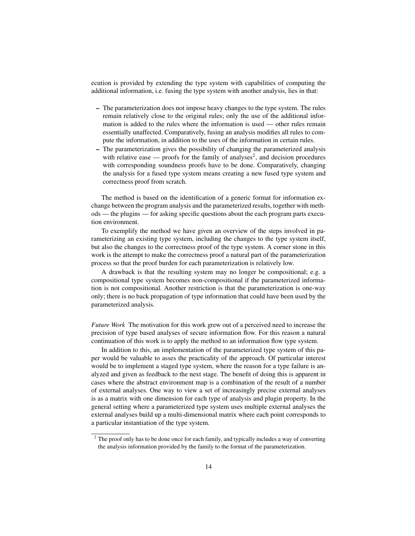ecution is provided by extending the type system with capabilities of computing the additional information, i.e. fusing the type system with another analysis, lies in that:

- The parameterization does not impose heavy changes to the type system. The rules remain relatively close to the original rules; only the use of the additional information is added to the rules where the information is used — other rules remain essentially unaffected. Comparatively, fusing an analysis modifies all rules to compute the information, in addition to the uses of the information in certain rules.
- The parameterization gives the possibility of changing the parameterized analysis with relative ease  $-$  proofs for the family of analyses<sup>2</sup>, and decision procedures with corresponding soundness proofs have to be done. Comparatively, changing the analysis for a fused type system means creating a new fused type system and correctness proof from scratch.

The method is based on the identification of a generic format for information exchange between the program analysis and the parameterized results, together with methods — the plugins — for asking specific questions about the each program parts execution environment.

To exemplify the method we have given an overview of the steps involved in parameterizing an existing type system, including the changes to the type system itself, but also the changes to the correctness proof of the type system. A corner stone in this work is the attempt to make the correctness proof a natural part of the parameterization process so that the proof burden for each parameterization is relatively low.

A drawback is that the resulting system may no longer be compositional; e.g. a compositional type system becomes non-compositional if the parameterized information is not compositional. Another restriction is that the parameterization is one-way only; there is no back propagation of type information that could have been used by the parameterized analysis.

*Future Work* The motivation for this work grew out of a perceived need to increase the precision of type based analyses of secure information flow. For this reason a natural continuation of this work is to apply the method to an information flow type system.

In addition to this, an implementation of the parameterized type system of this paper would be valuable to asses the practicality of the approach. Of particular interest would be to implement a staged type system, where the reason for a type failure is analyzed and given as feedback to the next stage. The benefit of doing this is apparent in cases where the abstract environment map is a combination of the result of a number of external analyses. One way to view a set of increasingly precise external analyses is as a matrix with one dimension for each type of analysis and plugin property. In the general setting where a parameterized type system uses multiple external analyses the external analyses build up a multi-dimensional matrix where each point corresponds to a particular instantiation of the type system.

<sup>&</sup>lt;sup>2</sup> The proof only has to be done once for each family, and typically includes a way of converting the analysis information provided by the family to the format of the parameterization.